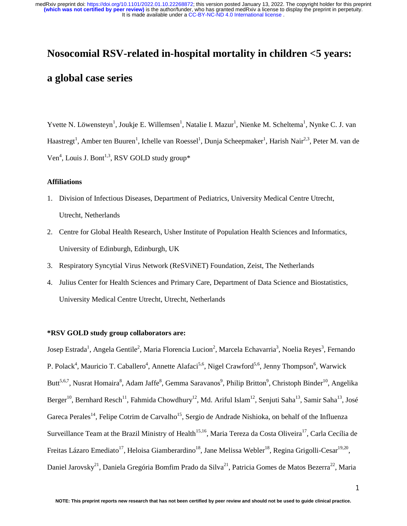# **Nosocomial RSV-related in-hospital mortality in children <5 years: a global case series**

Yvette N. Löwensteyn<sup>1</sup>, Joukje E. Willemsen<sup>1</sup>, Natalie I. Mazur<sup>1</sup>, Nienke M. Scheltema<sup>1</sup>, Nynke C. J. van Haastregt<sup>1</sup>, Amber ten Buuren<sup>1</sup>, Ichelle van Roessel<sup>1</sup>, Dunja Scheepmaker<sup>1</sup>, Harish Nair<sup>2,3</sup>, Peter M. van de Ven<sup>4</sup>, Louis J. Bont<sup>1,3</sup>, RSV GOLD study group\*

#### **Affiliations**

- 1. Division of Infectious Diseases, Department of Pediatrics, University Medical Centre Utrecht, Utrecht, Netherlands
- 2. Centre for Global Health Research, Usher Institute of Population Health Sciences and Informatics, University of Edinburgh, Edinburgh, UK
- 3. Respiratory Syncytial Virus Network (ReSViNET) Foundation, Zeist, The Netherlands
- 4. Julius Center for Health Sciences and Primary Care, Department of Data Science and Biostatistics, University Medical Centre Utrecht, Utrecht, Netherlands

## **\*RSV GOLD study group collaborators are:**

Josep Estrada<sup>1</sup>, Angela Gentile<sup>2</sup>, Maria Florencia Lucion<sup>2</sup>, Marcela Echavarria<sup>3</sup>, Noelia Reyes<sup>3</sup>, Fernando P. Polack<sup>4</sup>, Mauricio T. Caballero<sup>4</sup>, Annette Alafaci<sup>5,6</sup>, Nigel Crawford<sup>5,6</sup>, Jenny Thompson<sup>6</sup>, Warwick Butt<sup>5,6,7</sup>, Nusrat Homaira<sup>8</sup>, Adam Jaffe<sup>8</sup>, Gemma Saravanos<sup>9</sup>, Philip Britton<sup>9</sup>, Christoph Binder<sup>10</sup>, Angelika Berger<sup>10</sup>, Bernhard Resch<sup>11</sup>, Fahmida Chowdhury<sup>12</sup>, Md. Ariful Islam<sup>12</sup>, Senjuti Saha<sup>13</sup>, Samir Saha<sup>13</sup>, José Gareca Perales<sup>14</sup>, Felipe Cotrim de Carvalho<sup>15</sup>, Sergio de Andrade Nishioka, on behalf of the Influenza Surveillance Team at the Brazil Ministry of Health<sup>15,16</sup>, Maria Tereza da Costa Oliveira<sup>17</sup>, Carla Cecília de Freitas Lázaro Emediato<sup>17</sup>, Heloisa Giamberardino<sup>18</sup>, Jane Melissa Webler<sup>18</sup>, Regina Grigolli-Cesar<sup>19,20</sup>, Daniel Jarovsky<sup>21</sup>, Daniela Gregória Bomfim Prado da Silva<sup>21</sup>, Patricia Gomes de Matos Bezerra<sup>22</sup>, Maria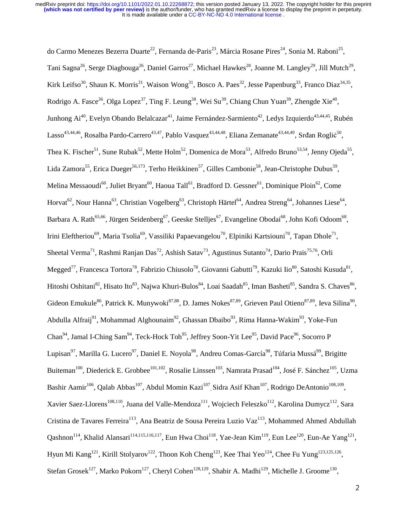do Carmo Menezes Bezerra Duarte<sup>22</sup>, Fernanda de-Paris<sup>23</sup>, Márcia Rosane Pires<sup>24</sup>, Sonia M. Raboni<sup>25</sup>, Tani Sagna<sup>26</sup>, Serge Diagbouga<sup>26</sup>, Daniel Garros<sup>27</sup>, Michael Hawkes<sup>28</sup>, Joanne M. Langley<sup>29</sup>, Jill Mutch<sup>29</sup>, Kirk Leifso<sup>30</sup>, Shaun K. Morris<sup>31</sup>, Waison Wong<sup>31</sup>, Bosco A. Paes<sup>32</sup>, Jesse Papenburg<sup>33</sup>, Franco Diaz<sup>34,35</sup>, Rodrigo A. Fasce<sup>36</sup>, Olga Lopez<sup>37</sup>, Ting F. Leung<sup>38</sup>, Wei Su<sup>39</sup>, Chiang Chun Yuan<sup>39</sup>, Zhengde Xie<sup>40</sup>, Junhong Ai<sup>40</sup>, Evelyn Obando Belalcazar<sup>41</sup>, Jaime Fernández-Sarmiento<sup>42</sup>, Ledys Izquierdo<sup>43,44,45</sup>, Rubén Lasso<sup>43,44,46</sup>, Rosalba Pardo-Carrero<sup>43,47</sup>, Pablo Vasquez<sup>43,44,48</sup>, Eliana Zemanate<sup>43,44,49</sup>, Srđan Roglić<sup>50</sup>, Thea K. Fischer<sup>51</sup>, Sune Rubak<sup>52</sup>, Mette Holm<sup>52</sup>, Domenica de Mora<sup>53</sup>, Alfredo Bruno<sup>53,54</sup>, Jenny Ojeda<sup>55</sup>, Lida Zamora<sup>55</sup>, Erica Dueger<sup>56,173</sup>, Terho Heikkinen<sup>57</sup>, Gilles Cambonie<sup>58</sup>, Jean-Christophe Dubus<sup>59</sup>, Melina Messaoudi<sup>60</sup>, Juliet Bryant<sup>60</sup>, Haoua Tall<sup>61</sup>, Bradford D. Gessner<sup>61</sup>, Dominique Ploin<sup>62</sup>, Come Horvat<sup>62</sup>, Nour Hanna<sup>63</sup>, Christian Vogelberg<sup>63</sup>, Christoph Härtel<sup>64</sup>, Andrea Streng<sup>64</sup>, Johannes Liese<sup>64</sup>, Barbara A. Rath<sup>65,66</sup>, Jürgen Seidenberg<sup>67</sup>, Geeske Stelljes<sup>67</sup>, Evangeline Obodai<sup>68</sup>, John Kofi Odoom<sup>68</sup>, Irini Eleftheriou<sup>69</sup>, Maria Tsolia<sup>69</sup>, Vassiliki Papaevangelou<sup>70</sup>, Elpiniki Kartsiouni<sup>70</sup>, Tapan Dhole<sup>71</sup>, Sheetal Verma<sup>71</sup>, Rashmi Ranjan Das<sup>72</sup>, Ashish Satav<sup>73</sup>, Agustinus Sutanto<sup>74</sup>, Dario Prais<sup>75,76</sup>, Orli Megged<sup>77</sup>, Francesca Tortora<sup>78</sup>, Fabrizio Chiusolo<sup>78</sup>, Giovanni Gabutti<sup>79</sup>, Kazuki Iio<sup>80</sup>, Satoshi Kusuda<sup>81</sup>, Hitoshi Oshitani<sup>82</sup>, Hisato Ito<sup>83</sup>, Najwa Khuri-Bulos<sup>84</sup>, Loai Saadah<sup>85</sup>, Iman Basheti<sup>85</sup>, Sandra S. Chaves<sup>86</sup>, Gideon Emukule<sup>86</sup>, Patrick K. Munywoki<sup>87,88</sup>, D. James Nokes<sup>87,89</sup>, Grieven Paul Otieno<sup>87,89</sup>, Ieva Silina<sup>90</sup>, Abdulla Alfraij<sup>91</sup>, Mohammad Alghounaim<sup>92</sup>, Ghassan Dbaibo<sup>93</sup>, Rima Hanna-Wakim<sup>93</sup>, Yoke-Fun Chan<sup>94</sup>, Jamal I-Ching Sam<sup>94</sup>, Teck-Hock Toh<sup>95</sup>, Jeffrey Soon-Yit Lee<sup>95</sup>, David Pace<sup>96</sup>, Socorro P Lupisan<sup>97</sup>, Marilla G. Lucero<sup>97</sup>, Daniel E. Noyola<sup>98</sup>, Andreu Comas-García<sup>98</sup>, Túfaria Mussá<sup>99</sup>, Brigitte Buiteman<sup>100</sup>, Diederick E. Grobbee<sup>101,102</sup>, Rosalie Linssen<sup>103</sup>, Namrata Prasad<sup>104</sup>, José F. Sánchez<sup>105</sup>, Uzma Bashir Aamir<sup>106</sup>, Qalab Abbas<sup>107</sup>, Abdul Momin Kazi<sup>107</sup>, Sidra Asif Khan<sup>107</sup>, Rodrigo DeAntonio<sup>108,109</sup>, Xavier Saez-Llorens<sup>108,110</sup>, Juana del Valle-Mendoza<sup>111</sup>, Wojciech Feleszko<sup>112</sup>, Karolina Dumycz<sup>112</sup>, Sara Cristina de Tavares Ferreira<sup>113</sup>, Ana Beatriz de Sousa Pereira Luzio Vaz<sup>113</sup>, Mohammed Ahmed Abdullah Qashnon<sup>114</sup>, Khalid Alansari<sup>114,115,116,117</sup>, Eun Hwa Choi<sup>118</sup>, Yae-Jean Kim<sup>119</sup>, Eun Lee<sup>120</sup>, Eun-Ae Yang<sup>121</sup>, Hyun Mi Kang<sup>121</sup>, Kirill Stolyarov<sup>122</sup>, Thoon Koh Cheng<sup>123</sup>, Kee Thai Yeo<sup>124</sup>, Chee Fu Yung<sup>123,125,126</sup>, Stefan Grosek<sup>127</sup>, Marko Pokorn<sup>127</sup>, Cheryl Cohen<sup>128,129</sup>, Shabir A. Madhi<sup>129</sup>, Michelle J. Groome<sup>130</sup>,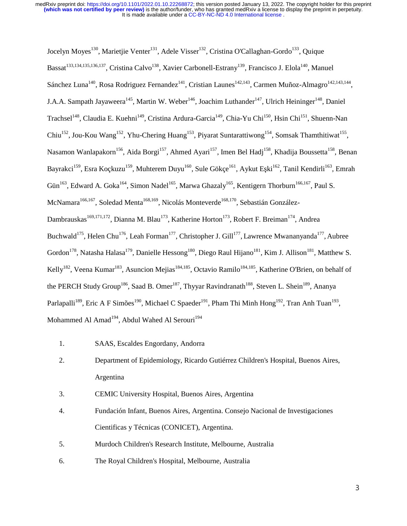Jocelyn Moyes<sup>130</sup>, Marietjie Venter<sup>131</sup>, Adele Visser<sup>132</sup>, Cristina O'Callaghan-Gordo<sup>133</sup>, Quique Bassat<sup>133,134,135,136,137</sup>, Cristina Calvo<sup>138</sup>, Xavier Carbonell-Estrany<sup>139</sup>, Francisco J. Elola<sup>140</sup>, Manuel Sánchez Luna<sup>140</sup>, Rosa Rodriguez Fernandez<sup>141</sup>, Cristian Launes<sup>142,143</sup>, Carmen Muñoz-Almagro<sup>142,143,144</sup>, J.A.A. Sampath Jayaweera<sup>145</sup>, Martin W. Weber<sup>146</sup>, Joachim Luthander<sup>147</sup>, Ulrich Heininger<sup>148</sup>, Daniel Trachsel<sup>148</sup>, Claudia E. Kuehni<sup>149</sup>, Cristina Ardura-Garcia<sup>149</sup>, Chia-Yu Chi<sup>150</sup>, Hsin Chi<sup>151</sup>, Shuenn-Nan Chiu<sup>152</sup>, Jou-Kou Wang<sup>152</sup>, Yhu-Chering Huang<sup>153</sup>, Piyarat Suntarattiwong<sup>154</sup>, Somsak Thamthitiwat<sup>155</sup>, Nasamon Wanlapakorn<sup>156</sup>, Aida Borgi<sup>157</sup>, Ahmed Ayari<sup>157</sup>, Imen Bel Hadj<sup>158</sup>, Khadija Boussetta<sup>158</sup>, Benan Bayrakci<sup>159</sup>, Esra Koçkuzu<sup>159</sup>, Muhterem Duyu<sup>160</sup>, Sule Gökçe<sup>161</sup>, Aykut Eşki<sup>162</sup>, Tanil Kendirli<sup>163</sup>, Emrah Gün<sup>163</sup>, Edward A. Goka<sup>164</sup>, Simon Nadel<sup>165</sup>, Marwa Ghazaly<sup>165</sup>, Kentigern Thorburn<sup>166,167</sup>, Paul S. McNamara<sup>166,167</sup>, Soledad Menta<sup>168,169</sup>, Nicolás Monteverde<sup>168,170</sup>, Sebastián González-Dambrauskas<sup>169,171,172</sup>, Dianna M. Blau<sup>173</sup>, Katherine Horton<sup>173</sup>, Robert F. Breiman<sup>174</sup>, Andrea Buchwald<sup>175</sup>, Helen Chu<sup>176</sup>, Leah Forman<sup>177</sup>, Christopher J. Gill<sup>177</sup>, Lawrence Mwananyanda<sup>177</sup>, Aubree Gordon<sup>178</sup>, Natasha Halasa<sup>179</sup>, Danielle Hessong<sup>180</sup>, Diego Raul Hijano<sup>181</sup>, Kim J. Allison<sup>181</sup>, Matthew S. Kelly<sup>182</sup>, Veena Kumar<sup>183</sup>, Asuncion Mejias<sup>184,185</sup>, Octavio Ramilo<sup>184,185</sup>, Katherine O'Brien, on behalf of the PERCH Study Group<sup>186</sup>, Saad B. Omer<sup>187</sup>, Thyyar Ravindranath<sup>188</sup>, Steven L. Shein<sup>189</sup>, Ananya Parlapalli<sup>189</sup>, Eric A F Simões<sup>190</sup>, Michael C Spaeder<sup>191</sup>, Pham Thi Minh Hong<sup>192</sup>, Tran Anh Tuan<sup>193</sup>, Mohammed Al Amad<sup>194</sup>, Abdul Wahed Al Serouri<sup>194</sup>

- 1. SAAS, Escaldes Engordany, Andorra
- 2. Department of Epidemiology, Ricardo Gutiérrez Children's Hospital, Buenos Aires, Argentina
- 3. CEMIC University Hospital, Buenos Aires, Argentina
- 4. Fundación Infant, Buenos Aires, Argentina. Consejo Nacional de Investigaciones Cientificas y Técnicas (CONICET), Argentina.
- 5. Murdoch Children's Research Institute, Melbourne, Australia
- 6. The Royal Children's Hospital, Melbourne, Australia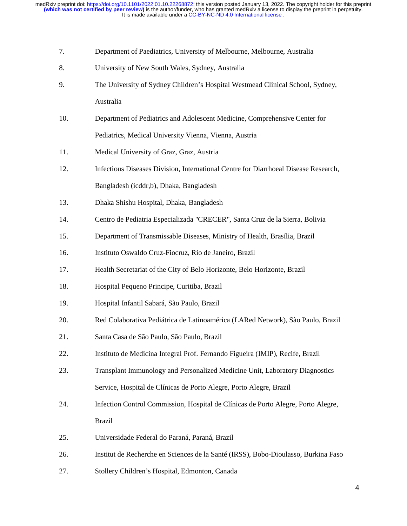- 7. Department of Paediatrics, University of Melbourne, Melbourne, Australia
- 8. University of New South Wales, Sydney, Australia
- 9. The University of Sydney Children's Hospital Westmead Clinical School, Sydney, Australia
- 10. Department of Pediatrics and Adolescent Medicine, Comprehensive Center for Pediatrics, Medical University Vienna, Vienna, Austria
- 11. Medical University of Graz, Graz, Austria
- 12. Infectious Diseases Division, International Centre for Diarrhoeal Disease Research, Bangladesh (icddr,b), Dhaka, Bangladesh
- 13. Dhaka Shishu Hospital, Dhaka, Bangladesh
- 14. Centro de Pediatria Especializada "CRECER", Santa Cruz de la Sierra, Bolivia
- 15. Department of Transmissable Diseases, Ministry of Health, Brasília, Brazil
- 16. Instituto Oswaldo Cruz-Fiocruz, Rio de Janeiro, Brazil
- 17. Health Secretariat of the City of Belo Horizonte, Belo Horizonte, Brazil
- 18. Hospital Pequeno Principe, Curitiba, Brazil
- 19. Hospital Infantil Sabará, São Paulo, Brazil
- 20. Red Colaborativa Pediátrica de Latinoamérica (LARed Network), São Paulo, Brazil
- 21. Santa Casa de São Paulo, São Paulo, Brazil
- 22. Instituto de Medicina Integral Prof. Fernando Figueira (IMIP), Recife, Brazil
- 23. Transplant Immunology and Personalized Medicine Unit, Laboratory Diagnostics Service, Hospital de Clínicas de Porto Alegre, Porto Alegre, Brazil
- 24. Infection Control Commission, Hospital de Clínicas de Porto Alegre, Porto Alegre, Brazil
- 25. Universidade Federal do Paraná, Paraná, Brazil
- 26. Institut de Recherche en Sciences de la Santé (IRSS), Bobo-Dioulasso, Burkina Faso
- 27. Stollery Children's Hospital, Edmonton, Canada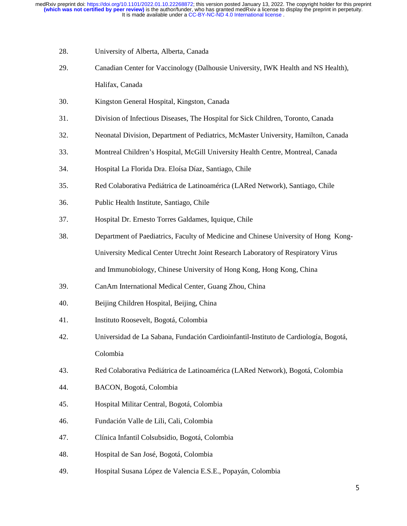- 28. University of Alberta, Alberta, Canada
- 29. Canadian Center for Vaccinology (Dalhousie University, IWK Health and NS Health), Halifax, Canada
- 30. Kingston General Hospital, Kingston, Canada
- 31. Division of Infectious Diseases, The Hospital for Sick Children, Toronto, Canada
- 32. Neonatal Division, Department of Pediatrics, McMaster University, Hamilton, Canada
- 33. Montreal Children's Hospital, McGill University Health Centre, Montreal, Canada
- 34. Hospital La Florida Dra. Eloísa Díaz, Santiago, Chile
- 35. Red Colaborativa Pediátrica de Latinoamérica (LARed Network), Santiago, Chile
- 36. Public Health Institute, Santiago, Chile
- 37. Hospital Dr. Ernesto Torres Galdames, Iquique, Chile
- 38. Department of Paediatrics, Faculty of Medicine and Chinese University of Hong Kong- University Medical Center Utrecht Joint Research Laboratory of Respiratory Virus and Immunobiology, Chinese University of Hong Kong, Hong Kong, China
- 39. CanAm International Medical Center, Guang Zhou, China
- 40. Beijing Children Hospital, Beijing, China
- 41. Instituto Roosevelt, Bogotá, Colombia
- 42. Universidad de La Sabana, Fundación Cardioinfantil-Instituto de Cardiología, Bogotá, Colombia
- 43. Red Colaborativa Pediátrica de Latinoamérica (LARed Network), Bogotá, Colombia
- 44. BACON, Bogotá, Colombia
- 45. Hospital Militar Central, Bogotá, Colombia
- 46. Fundación Valle de Lili, Cali, Colombia
- 47. Clínica Infantil Colsubsidio, Bogotá, Colombia
- 48. Hospital de San José, Bogotá, Colombia
- 49. Hospital Susana López de Valencia E.S.E., Popayán, Colombia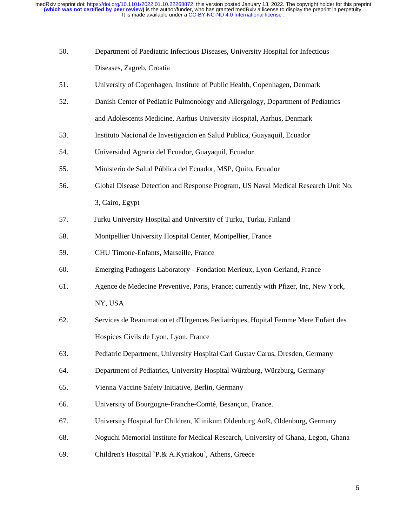- 50. Department of Paediatric Infectious Diseases, University Hospital for Infectious Diseases, Zagreb, Croatia
- 51. University of Copenhagen, Institute of Public Health, Copenhagen, Denmark
- 52. Danish Center of Pediatric Pulmonology and Allergology, Department of Pediatrics and Adolescents Medicine, Aarhus University Hospital, Aarhus, Denmark
- 53. Instituto Nacional de Investigacion en Salud Publica, Guayaquil, Ecuador
- 54. Universidad Agraria del Ecuador, Guayaquil, Ecuador
- 55. Ministerio de Salud Pública del Ecuador, MSP, Quito, Ecuador
- 56. Global Disease Detection and Response Program, US Naval Medical Research Unit No. 3, Cairo, Egypt
- 57. Turku University Hospital and University of Turku, Turku, Finland
- 58. Montpellier University Hospital Center, Montpellier, France
- 59. CHU Timone-Enfants, Marseille, France
- 60. Emerging Pathogens Laboratory Fondation Merieux, Lyon-Gerland, France
- 61. Agence de Medecine Preventive, Paris, France; currently with Pfizer, Inc, New York, NY, USA
- 62. Services de Reanimation et d'Urgences Pediatriques, Hopital Femme Mere Enfant des Hospices Civils de Lyon, Lyon, France
- 63. Pediatric Department, University Hospital Carl Gustav Carus, Dresden, Germany
- 64. Department of Pediatrics, University Hospital Würzburg, Würzburg, Germany
- 65. Vienna Vaccine Safety Initiative, Berlin, Germany
- 66. University of Bourgogne-Franche-Comté, Besançon, France.
- 67. University Hospital for Children, Klinikum Oldenburg AöR, Oldenburg, Germany
- 68. Noguchi Memorial Institute for Medical Research, University of Ghana, Legon, Ghana
- 69. Children's Hospital `P.& A.Kyriakou`, Athens, Greece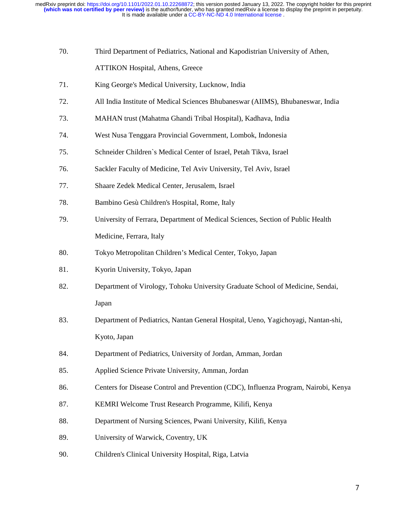- 70. Third Department of Pediatrics, National and Kapodistrian University of Athen, ATTIKON Hospital, Athens, Greece
- 71. King George's Medical University, Lucknow, India
- 72. All India Institute of Medical Sciences Bhubaneswar (AIIMS), Bhubaneswar, India
- 73. MAHAN trust (Mahatma Ghandi Tribal Hospital), Kadhava, India
- 74. West Nusa Tenggara Provincial Government, Lombok, Indonesia
- 75. Schneider Children`s Medical Center of Israel, Petah Tikva, Israel
- 76. Sackler Faculty of Medicine, Tel Aviv University, Tel Aviv, Israel
- 77. Shaare Zedek Medical Center, Jerusalem, Israel
- 78. Bambino Gesù Children's Hospital, Rome, Italy
- 79. University of Ferrara, Department of Medical Sciences, Section of Public Health Medicine, Ferrara, Italy
- 80. Tokyo Metropolitan Children's Medical Center, Tokyo, Japan
- 81. Kyorin University, Tokyo, Japan
- 82. Department of Virology, Tohoku University Graduate School of Medicine, Sendai, Japan
- 83. Department of Pediatrics, Nantan General Hospital, Ueno, Yagichoyagi, Nantan-shi, Kyoto, Japan
- 84. Department of Pediatrics, University of Jordan, Amman, Jordan
- 85. Applied Science Private University, Amman, Jordan
- 86. Centers for Disease Control and Prevention (CDC), Influenza Program, Nairobi, Kenya
- 87. KEMRI Welcome Trust Research Programme, Kilifi, Kenya
- 88. Department of Nursing Sciences, Pwani University, Kilifi, Kenya
- 89. University of Warwick, Coventry, UK
- 90. Children's Clinical University Hospital, Riga, Latvia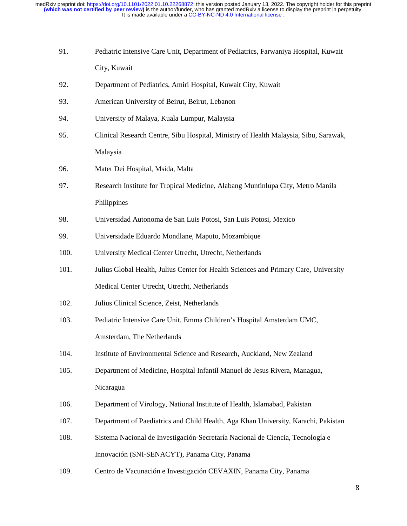- 91. Pediatric Intensive Care Unit, Department of Pediatrics, Farwaniya Hospital, Kuwait City, Kuwait
- 92. Department of Pediatrics, Amiri Hospital, Kuwait City, Kuwait
- 93. American University of Beirut, Beirut, Lebanon
- 94. University of Malaya, Kuala Lumpur, Malaysia
- 95. Clinical Research Centre, Sibu Hospital, Ministry of Health Malaysia, Sibu, Sarawak, Malaysia
- 96. Mater Dei Hospital, Msida, Malta
- 97. Research Institute for Tropical Medicine, Alabang Muntinlupa City, Metro Manila Philippines
- 98. Universidad Autonoma de San Luis Potosi, San Luis Potosi, Mexico
- 99. Universidade Eduardo Mondlane, Maputo, Mozambique
- 100. University Medical Center Utrecht, Utrecht, Netherlands
- 101. Julius Global Health, Julius Center for Health Sciences and Primary Care, University Medical Center Utrecht, Utrecht, Netherlands
- 102. Julius Clinical Science, Zeist, Netherlands
- 103. Pediatric Intensive Care Unit, Emma Children's Hospital Amsterdam UMC, Amsterdam, The Netherlands
- 104. Institute of Environmental Science and Research, Auckland, New Zealand
- 105. Department of Medicine, Hospital Infantil Manuel de Jesus Rivera, Managua, Nicaragua
- 106. Department of Virology, National Institute of Health, Islamabad, Pakistan
- 107. Department of Paediatrics and Child Health, Aga Khan University, Karachi, Pakistan
- 108. Sistema Nacional de Investigación-Secretaría Nacional de Ciencia, Tecnología e Innovación (SNI-SENACYT), Panama City, Panama
- 109. Centro de Vacunación e Investigación CEVAXIN, Panama City, Panama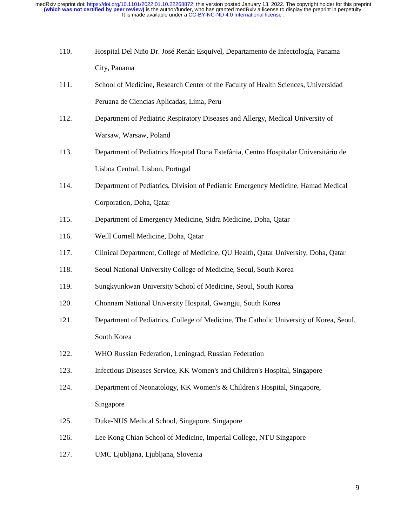- 110. Hospital Del Niño Dr. José Renán Esquivel, Departamento de Infectología, Panama City, Panama
- 111. School of Medicine, Research Center of the Faculty of Health Sciences, Universidad Peruana de Ciencias Aplicadas, Lima, Peru
- 112. Department of Pediatric Respiratory Diseases and Allergy, Medical University of Warsaw, Warsaw, Poland
- 113. Department of Pediatrics Hospital Dona Estefânia, Centro Hospitalar Universitário de Lisboa Central, Lisbon, Portugal
- 114. Department of Pediatrics, Division of Pediatric Emergency Medicine, Hamad Medical Corporation, Doha, Qatar
- 115. Department of Emergency Medicine, Sidra Medicine, Doha, Qatar
- 116. Weill Cornell Medicine, Doha, Qatar
- 117. Clinical Department, College of Medicine, QU Health, Qatar University, Doha, Qatar
- 118. Seoul National University College of Medicine, Seoul, South Korea
- 119. Sungkyunkwan University School of Medicine, Seoul, South Korea
- 120. Chonnam National University Hospital, Gwangju, South Korea
- 121. Department of Pediatrics, College of Medicine, The Catholic University of Korea, Seoul, South Korea
- 122. WHO Russian Federation, Leningrad, Russian Federation
- 123. Infectious Diseases Service, KK Women's and Children's Hospital, Singapore
- 124. Department of Neonatology, KK Women's & Children's Hospital, Singapore, Singapore
- 125. Duke-NUS Medical School, Singapore, Singapore
- 126. Lee Kong Chian School of Medicine, Imperial College, NTU Singapore
- 127. UMC Ljubljana, Ljubljana, Slovenia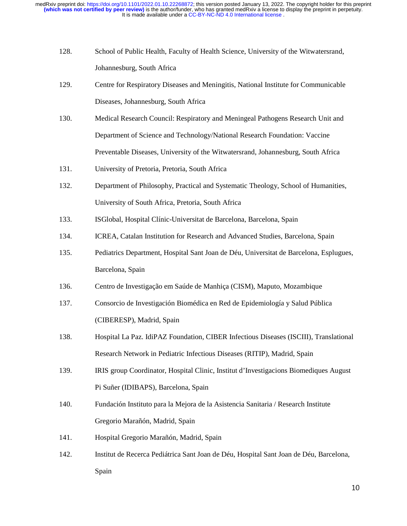- 128. School of Public Health, Faculty of Health Science, University of the Witwatersrand, Johannesburg, South Africa
- 129. Centre for Respiratory Diseases and Meningitis, National Institute for Communicable Diseases, Johannesburg, South Africa
- 130. Medical Research Council: Respiratory and Meningeal Pathogens Research Unit and Department of Science and Technology/National Research Foundation: Vaccine Preventable Diseases, University of the Witwatersrand, Johannesburg, South Africa
- 131. University of Pretoria, Pretoria, South Africa
- 132. Department of Philosophy, Practical and Systematic Theology, School of Humanities, University of South Africa, Pretoria, South Africa
- 133. ISGlobal, Hospital Clínic-Universitat de Barcelona, Barcelona, Spain
- 134. ICREA, Catalan Institution for Research and Advanced Studies, Barcelona, Spain
- 135. Pediatrics Department, Hospital Sant Joan de Déu, Universitat de Barcelona, Esplugues, Barcelona, Spain
- 136. Centro de Investigação em Saúde de Manhiça (CISM), Maputo, Mozambique
- 137. Consorcio de Investigación Biomédica en Red de Epidemiología y Salud Pública (CIBERESP), Madrid, Spain
- 138. Hospital La Paz. IdiPAZ Foundation, CIBER Infectious Diseases (ISCIII), Translational Research Network in Pediatric Infectious Diseases (RITIP), Madrid, Spain
- 139. IRIS group Coordinator, Hospital Clinic, Institut d'Investigacions Biomediques August Pi Suñer (IDIBAPS), Barcelona, Spain
- 140. Fundación Instituto para la Mejora de la Asistencia Sanitaria / Research Institute Gregorio Marañón, Madrid, Spain
- 141. Hospital Gregorio Marañón, Madrid, Spain
- 142. Institut de Recerca Pediátrica Sant Joan de Déu, Hospital Sant Joan de Déu, Barcelona, Spain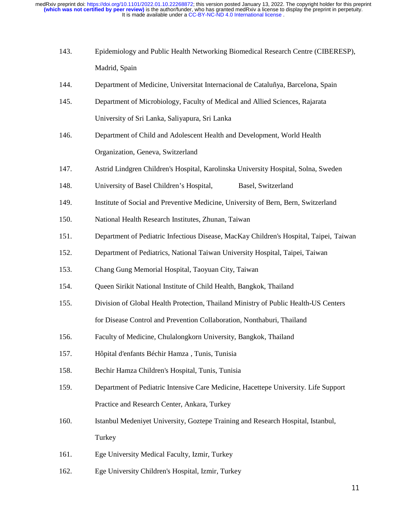- 143. Epidemiology and Public Health Networking Biomedical Research Centre (CIBERESP), Madrid, Spain
- 144. Department of Medicine, Universitat Internacional de Cataluñya, Barcelona, Spain
- 145. Department of Microbiology, Faculty of Medical and Allied Sciences, Rajarata University of Sri Lanka, Saliyapura, Sri Lanka
- 146. Department of Child and Adolescent Health and Development, World Health Organization, Geneva, Switzerland
- 147. Astrid Lindgren Children's Hospital, Karolinska University Hospital, Solna, Sweden
- 148. University of Basel Children's Hospital, Basel, Switzerland
- 149. Institute of Social and Preventive Medicine, University of Bern, Bern, Switzerland
- 150. National Health Research Institutes, Zhunan, Taiwan
- 151. Department of Pediatric Infectious Disease, MacKay Children's Hospital, Taipei, Taiwan
- 152. Department of Pediatrics, National Taiwan University Hospital, Taipei, Taiwan
- 153. Chang Gung Memorial Hospital, Taoyuan City, Taiwan
- 154. Queen Sirikit National Institute of Child Health, Bangkok, Thailand
- 155. Division of Global Health Protection, Thailand Ministry of Public Health-US Centers for Disease Control and Prevention Collaboration, Nonthaburi, Thailand
- 156. Faculty of Medicine, Chulalongkorn University, Bangkok, Thailand
- 157. Hôpital d'enfants Béchir Hamza , Tunis, Tunisia
- 158. Bechir Hamza Children's Hospital, Tunis, Tunisia
- 159. Department of Pediatric Intensive Care Medicine, Hacettepe University. Life Support Practice and Research Center, Ankara, Turkey
- 160. Istanbul Medeniyet University, Goztepe Training and Research Hospital, Istanbul, **Turkey**
- 161. Ege University Medical Faculty, Izmir, Turkey
- 162. Ege University Children's Hospital, Izmir, Turkey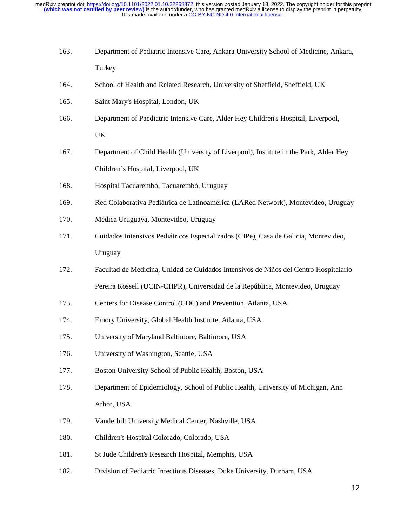- 163. Department of Pediatric Intensive Care, Ankara University School of Medicine, Ankara, Turkey
- 164. School of Health and Related Research, University of Sheffield, Sheffield, UK
- 165. Saint Mary's Hospital, London, UK
- 166. Department of Paediatric Intensive Care, Alder Hey Children's Hospital, Liverpool, UK
- 167. Department of Child Health (University of Liverpool), Institute in the Park, Alder Hey Children's Hospital, Liverpool, UK
- 168. Hospital Tacuarembó, Tacuarembó, Uruguay
- 169. Red Colaborativa Pediátrica de Latinoamérica (LARed Network), Montevideo, Uruguay
- 170. Médica Uruguaya, Montevideo, Uruguay
- 171. Cuidados Intensivos Pediátricos Especializados (CIPe), Casa de Galicia, Montevideo, Uruguay
- 172. Facultad de Medicina, Unidad de Cuidados Intensivos de Niños del Centro Hospitalario Pereira Rossell (UCIN-CHPR), Universidad de la República, Montevideo, Uruguay
- 173. Centers for Disease Control (CDC) and Prevention, Atlanta, USA
- 174. Emory University, Global Health Institute, Atlanta, USA
- 175. University of Maryland Baltimore, Baltimore, USA
- 176. University of Washington, Seattle, USA
- 177. Boston University School of Public Health, Boston, USA
- 178. Department of Epidemiology, School of Public Health, University of Michigan, Ann Arbor, USA
- 179. Vanderbilt University Medical Center, Nashville, USA
- 180. Children's Hospital Colorado, Colorado, USA
- 181. St Jude Children's Research Hospital, Memphis, USA
- 182. Division of Pediatric Infectious Diseases, Duke University, Durham, USA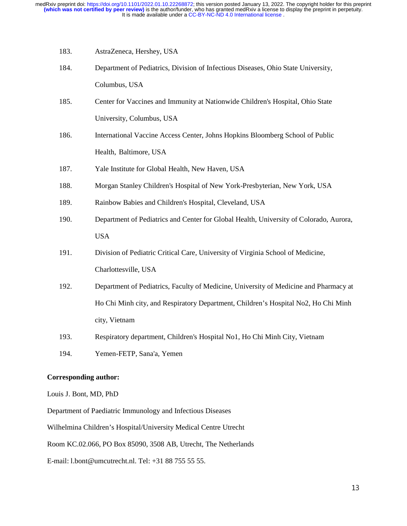- 183. AstraZeneca, Hershey, USA
- 184. Department of Pediatrics, Division of Infectious Diseases, Ohio State University, Columbus, USA
- 185. Center for Vaccines and Immunity at Nationwide Children's Hospital, Ohio State University, Columbus, USA
- 186. International Vaccine Access Center, Johns Hopkins Bloomberg School of Public Health, Baltimore, USA
- 187. Yale Institute for Global Health, New Haven, USA
- 188. Morgan Stanley Children's Hospital of New York-Presbyterian, New York, USA
- 189. Rainbow Babies and Children's Hospital, Cleveland, USA
- 190. Department of Pediatrics and Center for Global Health, University of Colorado, Aurora, USA
- 191. Division of Pediatric Critical Care, University of Virginia School of Medicine, Charlottesville, USA
- 192. Department of Pediatrics, Faculty of Medicine, University of Medicine and Pharmacy at Ho Chi Minh city, and Respiratory Department, Children's Hospital No2, Ho Chi Minh city, Vietnam
- 193. Respiratory department, Children's Hospital No1, Ho Chi Minh City, Vietnam
- 194. Yemen-FETP, Sana'a, Yemen

#### **Corresponding author:**

Louis J. Bont, MD, PhD

Department of Paediatric Immunology and Infectious Diseases

Wilhelmina Children's Hospital/University Medical Centre Utrecht

Room KC.02.066, PO Box 85090, 3508 AB, Utrecht, The Netherlands

E-mail: l.bont@umcutrecht.nl. Tel: +31 88 755 55 55.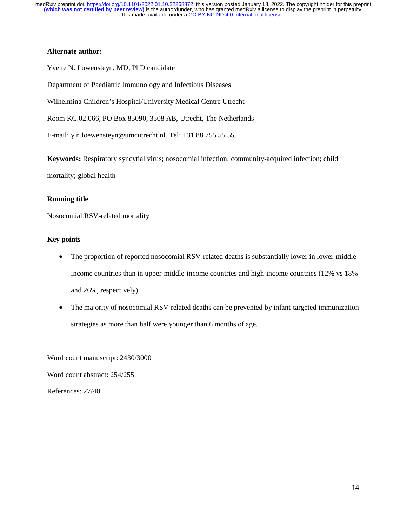## **Alternate author:**

Yvette N. Löwensteyn, MD, PhD candidate

Department of Paediatric Immunology and Infectious Diseases

Wilhelmina Children's Hospital/University Medical Centre Utrecht

Room KC.02.066, PO Box 85090, 3508 AB, Utrecht, The Netherlands

E-mail: y.n.loewensteyn@umcutrecht.nl. Tel: +31 88 755 55 55.

**Keywords:** Respiratory syncytial virus; nosocomial infection; community-acquired infection; child

mortality; global health

## **Running title**

Nosocomial RSV-related mortality

## **Key points**

- The proportion of reported nosocomial RSV-related deaths is substantially lower in lower-middleincome countries than in upper-middle-income countries and high-income countries (12% vs 18% and 26%, respectively).
- The majority of nosocomial RSV-related deaths can be prevented by infant-targeted immunization strategies as more than half were younger than 6 months of age.

Word count manuscript: 2430/3000 Word count abstract: 254/255 References: 27/40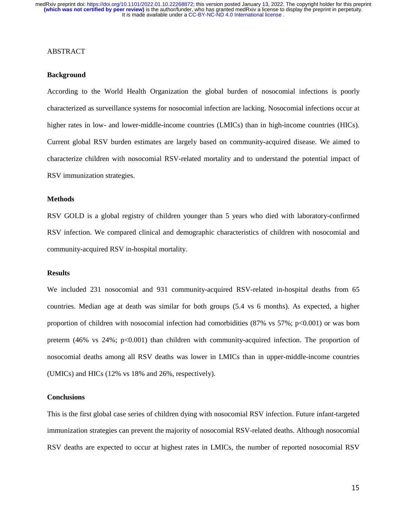#### ABSTRACT

## **Background**

According to the World Health Organization the global burden of nosocomial infections is poorly characterized as surveillance systems for nosocomial infection are lacking. Nosocomial infections occur at higher rates in low- and lower-middle-income countries (LMICs) than in high-income countries (HICs). Current global RSV burden estimates are largely based on community-acquired disease. We aimed to characterize children with nosocomial RSV-related mortality and to understand the potential impact of RSV immunization strategies.

#### **Methods**

RSV GOLD is a global registry of children younger than 5 years who died with laboratory-confirmed RSV infection. We compared clinical and demographic characteristics of children with nosocomial and community-acquired RSV in-hospital mortality.

#### **Results**

We included 231 nosocomial and 931 community-acquired RSV-related in-hospital deaths from 65 countries. Median age at death was similar for both groups (5.4 vs 6 months). As expected, a higher proportion of children with nosocomial infection had comorbidities  $(87\% \text{ vs } 57\%; \text{ p} < 0.001)$  or was born preterm (46% vs 24%; p<0.001) than children with community-acquired infection. The proportion of nosocomial deaths among all RSV deaths was lower in LMICs than in upper-middle-income countries (UMICs) and HICs (12% vs 18% and 26%, respectively).

#### **Conclusions**

This is the first global case series of children dying with nosocomial RSV infection. Future infant-targeted immunization strategies can prevent the majority of nosocomial RSV-related deaths. Although nosocomial RSV deaths are expected to occur at highest rates in LMICs, the number of reported nosocomial RSV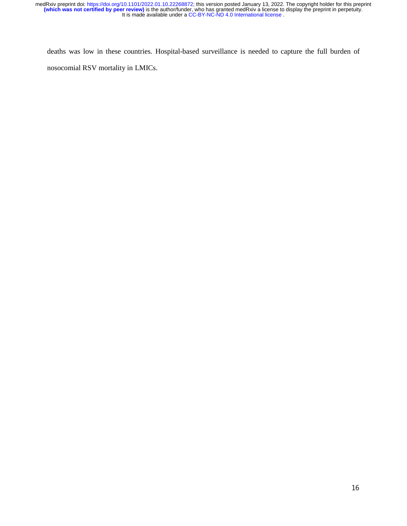deaths was low in these countries. Hospital-based surveillance is needed to capture the full burden of nosocomial RSV mortality in LMICs.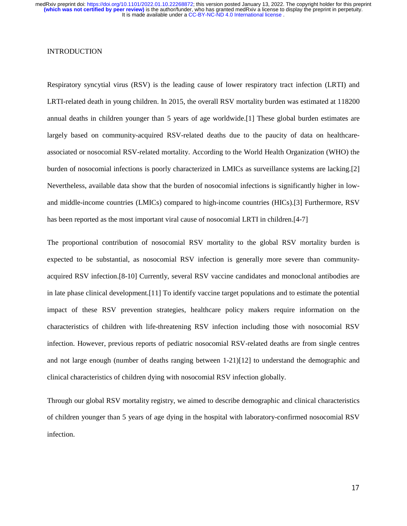## **INTRODUCTION**

Respiratory syncytial virus (RSV) is the leading cause of lower respiratory tract infection (LRTI) and LRTI-related death in young children. In 2015, the overall RSV mortality burden was estimated at 118200 annual deaths in children younger than 5 years of age worldwide.[1] These global burden estimates are largely based on community-acquired RSV-related deaths due to the paucity of data on healthcareassociated or nosocomial RSV-related mortality. According to the World Health Organization (WHO) the burden of nosocomial infections is poorly characterized in LMICs as surveillance systems are lacking.[2] Nevertheless, available data show that the burden of nosocomial infections is significantly higher in lowand middle-income countries (LMICs) compared to high-income countries (HICs).[3] Furthermore, RSV has been reported as the most important viral cause of nosocomial LRTI in children.[4-7]

The proportional contribution of nosocomial RSV mortality to the global RSV mortality burden is expected to be substantial, as nosocomial RSV infection is generally more severe than communityacquired RSV infection.[8-10] Currently, several RSV vaccine candidates and monoclonal antibodies are in late phase clinical development.[11] To identify vaccine target populations and to estimate the potential impact of these RSV prevention strategies, healthcare policy makers require information on the characteristics of children with life-threatening RSV infection including those with nosocomial RSV infection. However, previous reports of pediatric nosocomial RSV-related deaths are from single centres and not large enough (number of deaths ranging between 1-21)[12] to understand the demographic and clinical characteristics of children dying with nosocomial RSV infection globally.

Through our global RSV mortality registry, we aimed to describe demographic and clinical characteristics of children younger than 5 years of age dying in the hospital with laboratory-confirmed nosocomial RSV infection.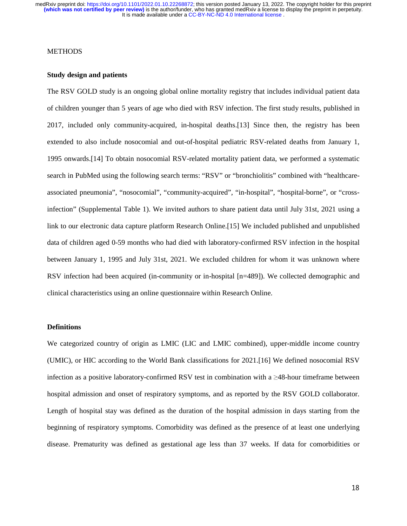## METHODS

#### **Study design and patients**

The RSV GOLD study is an ongoing global online mortality registry that includes individual patient data of children younger than 5 years of age who died with RSV infection. The first study results, published in 2017, included only community-acquired, in-hospital deaths.[13] Since then, the registry has been extended to also include nosocomial and out-of-hospital pediatric RSV-related deaths from January 1, 1995 onwards.[14] To obtain nosocomial RSV-related mortality patient data, we performed a systematic search in PubMed using the following search terms: "RSV" or "bronchiolitis" combined with "healthcareassociated pneumonia", "nosocomial", "community-acquired", "in-hospital", "hospital-borne", or "crossinfection" (Supplemental Table 1). We invited authors to share patient data until July 31st, 2021 using a link to our electronic data capture platform Research Online.[15] We included published and unpublished data of children aged 0-59 months who had died with laboratory-confirmed RSV infection in the hospital between January 1, 1995 and July 31st, 2021. We excluded children for whom it was unknown where RSV infection had been acquired (in-community or in-hospital [n=489]). We collected demographic and clinical characteristics using an online questionnaire within Research Online.

## **Definitions**

We categorized country of origin as LMIC (LIC and LMIC combined), upper-middle income country (UMIC), or HIC according to the World Bank classifications for 2021.[16] We defined nosocomial RSV infection as a positive laboratory-confirmed RSV test in combination with a  $\geq$ 48-hour timeframe between hospital admission and onset of respiratory symptoms, and as reported by the RSV GOLD collaborator. Length of hospital stay was defined as the duration of the hospital admission in days starting from the beginning of respiratory symptoms. Comorbidity was defined as the presence of at least one underlying disease. Prematurity was defined as gestational age less than 37 weeks. If data for comorbidities or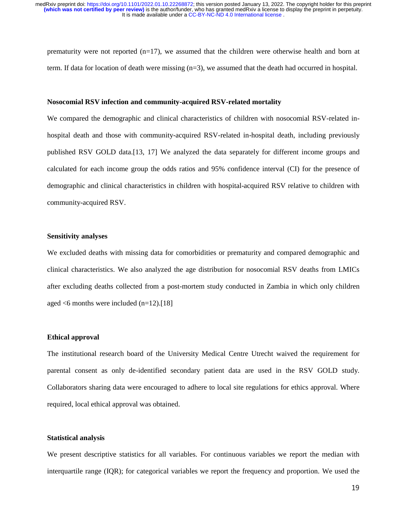prematurity were not reported (n=17), we assumed that the children were otherwise health and born at term. If data for location of death were missing  $(n=3)$ , we assumed that the death had occurred in hospital.

#### **Nosocomial RSV infection and community-acquired RSV-related mortality**

We compared the demographic and clinical characteristics of children with nosocomial RSV-related inhospital death and those with community-acquired RSV-related in-hospital death, including previously published RSV GOLD data.[13, 17] We analyzed the data separately for different income groups and calculated for each income group the odds ratios and 95% confidence interval (CI) for the presence of demographic and clinical characteristics in children with hospital-acquired RSV relative to children with community-acquired RSV.

#### **Sensitivity analyses**

We excluded deaths with missing data for comorbidities or prematurity and compared demographic and clinical characteristics. We also analyzed the age distribution for nosocomial RSV deaths from LMICs after excluding deaths collected from a post-mortem study conducted in Zambia in which only children aged <6 months were included (n=12).[18]

#### **Ethical approval**

The institutional research board of the University Medical Centre Utrecht waived the requirement for parental consent as only de-identified secondary patient data are used in the RSV GOLD study. Collaborators sharing data were encouraged to adhere to local site regulations for ethics approval. Where required, local ethical approval was obtained.

## **Statistical analysis**

We present descriptive statistics for all variables. For continuous variables we report the median with interquartile range (IQR); for categorical variables we report the frequency and proportion. We used the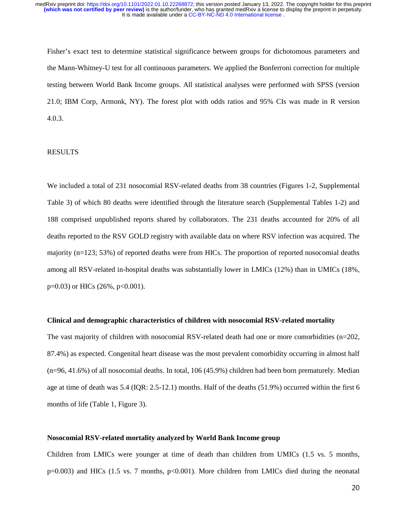Fisher's exact test to determine statistical significance between groups for dichotomous parameters and the Mann-Whitney-U test for all continuous parameters. We applied the Bonferroni correction for multiple testing between World Bank Income groups. All statistical analyses were performed with SPSS (version 21.0; IBM Corp, Armonk, NY). The forest plot with odds ratios and 95% CIs was made in R version 4.0.3.

#### RESULTS

We included a total of 231 nosocomial RSV-related deaths from 38 countries (Figures 1-2, Supplemental Table 3) of which 80 deaths were identified through the literature search (Supplemental Tables 1-2) and 188 comprised unpublished reports shared by collaborators. The 231 deaths accounted for 20% of all deaths reported to the RSV GOLD registry with available data on where RSV infection was acquired. The majority (n=123; 53%) of reported deaths were from HICs. The proportion of reported nosocomial deaths among all RSV-related in-hospital deaths was substantially lower in LMICs (12%) than in UMICs (18%,  $p=0.03$ ) or HICs (26%,  $p<0.001$ ).

#### **Clinical and demographic characteristics of children with nosocomial RSV-related mortality**

The vast majority of children with nosocomial RSV-related death had one or more comorbidities (n=202, 87.4%) as expected. Congenital heart disease was the most prevalent comorbidity occurring in almost half (n=96, 41.6%) of all nosocomial deaths. In total, 106 (45.9%) children had been born prematurely. Median age at time of death was 5.4 (IQR: 2.5-12.1) months. Half of the deaths (51.9%) occurred within the first 6 months of life (Table 1, Figure 3).

## **Nosocomial RSV-related mortality analyzed by World Bank Income group**

Children from LMICs were younger at time of death than children from UMICs (1.5 vs. 5 months, p=0.003) and HICs (1.5 vs. 7 months, p<0.001). More children from LMICs died during the neonatal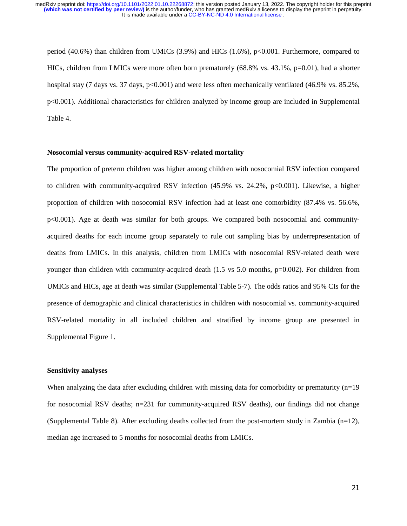period (40.6%) than children from UMICs (3.9%) and HICs (1.6%), p<0.001. Furthermore, compared to HICs, children from LMICs were more often born prematurely  $(68.8\%$  vs.  $43.1\%$ , p=0.01), had a shorter hospital stay (7 days vs. 37 days,  $p<0.001$ ) and were less often mechanically ventilated (46.9% vs. 85.2%, p<0.001). Additional characteristics for children analyzed by income group are included in Supplemental Table 4.

#### **Nosocomial versus community-acquired RSV-related mortality**

The proportion of preterm children was higher among children with nosocomial RSV infection compared to children with community-acquired RSV infection (45.9% vs. 24.2%, p<0.001). Likewise, a higher proportion of children with nosocomial RSV infection had at least one comorbidity (87.4% vs. 56.6%, p<0.001). Age at death was similar for both groups. We compared both nosocomial and communityacquired deaths for each income group separately to rule out sampling bias by underrepresentation of deaths from LMICs. In this analysis, children from LMICs with nosocomial RSV-related death were younger than children with community-acquired death (1.5 vs 5.0 months, p=0.002). For children from UMICs and HICs, age at death was similar (Supplemental Table 5-7). The odds ratios and 95% CIs for the presence of demographic and clinical characteristics in children with nosocomial vs. community-acquired RSV-related mortality in all included children and stratified by income group are presented in Supplemental Figure 1.

#### **Sensitivity analyses**

When analyzing the data after excluding children with missing data for comorbidity or prematurity (n=19) for nosocomial RSV deaths; n=231 for community-acquired RSV deaths), our findings did not change (Supplemental Table 8). After excluding deaths collected from the post-mortem study in Zambia (n=12), median age increased to 5 months for nosocomial deaths from LMICs.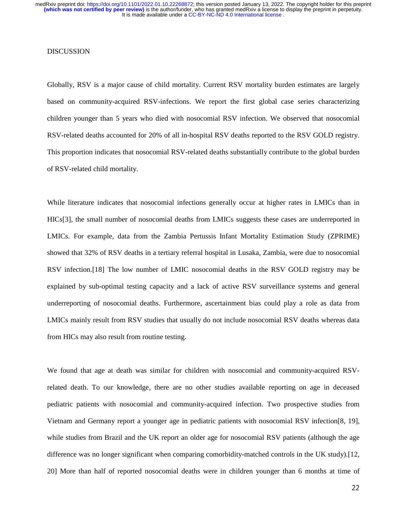## DISCUSSION

Globally, RSV is a major cause of child mortality. Current RSV mortality burden estimates are largely based on community-acquired RSV-infections. We report the first global case series characterizing children younger than 5 years who died with nosocomial RSV infection. We observed that nosocomial RSV-related deaths accounted for 20% of all in-hospital RSV deaths reported to the RSV GOLD registry. This proportion indicates that nosocomial RSV-related deaths substantially contribute to the global burden of RSV-related child mortality.

While literature indicates that nosocomial infections generally occur at higher rates in LMICs than in HICs[3], the small number of nosocomial deaths from LMICs suggests these cases are underreported in LMICs. For example, data from the Zambia Pertussis Infant Mortality Estimation Study (ZPRIME) showed that 32% of RSV deaths in a tertiary referral hospital in Lusaka, Zambia, were due to nosocomial RSV infection.[18] The low number of LMIC nosocomial deaths in the RSV GOLD registry may be explained by sub-optimal testing capacity and a lack of active RSV surveillance systems and general underreporting of nosocomial deaths. Furthermore, ascertainment bias could play a role as data from LMICs mainly result from RSV studies that usually do not include nosocomial RSV deaths whereas data from HICs may also result from routine testing.

We found that age at death was similar for children with nosocomial and community-acquired RSVrelated death. To our knowledge, there are no other studies available reporting on age in deceased pediatric patients with nosocomial and community-acquired infection. Two prospective studies from Vietnam and Germany report a younger age in pediatric patients with nosocomial RSV infection[8, 19], while studies from Brazil and the UK report an older age for nosocomial RSV patients (although the age difference was no longer significant when comparing comorbidity-matched controls in the UK study).[12, 20] More than half of reported nosocomial deaths were in children younger than 6 months at time of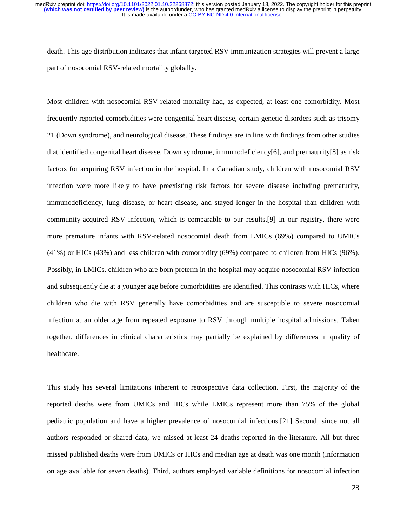death. This age distribution indicates that infant-targeted RSV immunization strategies will prevent a large part of nosocomial RSV-related mortality globally.

Most children with nosocomial RSV-related mortality had, as expected, at least one comorbidity. Most frequently reported comorbidities were congenital heart disease, certain genetic disorders such as trisomy 21 (Down syndrome), and neurological disease. These findings are in line with findings from other studies that identified congenital heart disease, Down syndrome, immunodeficiency[6], and prematurity[8] as risk factors for acquiring RSV infection in the hospital. In a Canadian study, children with nosocomial RSV infection were more likely to have preexisting risk factors for severe disease including prematurity, immunodeficiency, lung disease, or heart disease, and stayed longer in the hospital than children with community-acquired RSV infection, which is comparable to our results.[9] In our registry, there were more premature infants with RSV-related nosocomial death from LMICs (69%) compared to UMICs (41%) or HICs (43%) and less children with comorbidity (69%) compared to children from HICs (96%). Possibly, in LMICs, children who are born preterm in the hospital may acquire nosocomial RSV infection and subsequently die at a younger age before comorbidities are identified. This contrasts with HICs, where children who die with RSV generally have comorbidities and are susceptible to severe nosocomial infection at an older age from repeated exposure to RSV through multiple hospital admissions. Taken together, differences in clinical characteristics may partially be explained by differences in quality of healthcare.

This study has several limitations inherent to retrospective data collection. First, the majority of the reported deaths were from UMICs and HICs while LMICs represent more than 75% of the global pediatric population and have a higher prevalence of nosocomial infections.[21] Second, since not all authors responded or shared data, we missed at least 24 deaths reported in the literature. All but three missed published deaths were from UMICs or HICs and median age at death was one month (information on age available for seven deaths). Third, authors employed variable definitions for nosocomial infection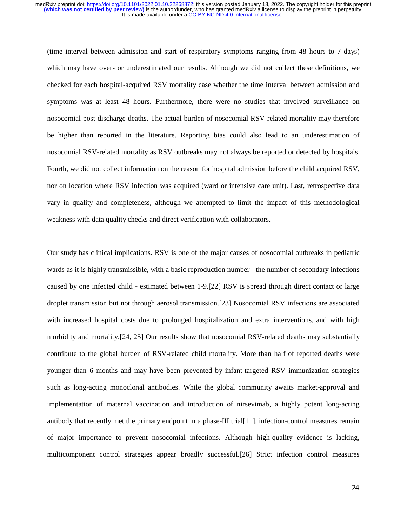(time interval between admission and start of respiratory symptoms ranging from 48 hours to 7 days) which may have over- or underestimated our results. Although we did not collect these definitions, we checked for each hospital-acquired RSV mortality case whether the time interval between admission and symptoms was at least 48 hours. Furthermore, there were no studies that involved surveillance on nosocomial post-discharge deaths. The actual burden of nosocomial RSV-related mortality may therefore be higher than reported in the literature. Reporting bias could also lead to an underestimation of nosocomial RSV-related mortality as RSV outbreaks may not always be reported or detected by hospitals. Fourth, we did not collect information on the reason for hospital admission before the child acquired RSV, nor on location where RSV infection was acquired (ward or intensive care unit). Last, retrospective data vary in quality and completeness, although we attempted to limit the impact of this methodological weakness with data quality checks and direct verification with collaborators.

Our study has clinical implications. RSV is one of the major causes of nosocomial outbreaks in pediatric wards as it is highly transmissible, with a basic reproduction number - the number of secondary infections caused by one infected child - estimated between 1-9.[22] RSV is spread through direct contact or large droplet transmission but not through aerosol transmission.[23] Nosocomial RSV infections are associated with increased hospital costs due to prolonged hospitalization and extra interventions, and with high morbidity and mortality.[24, 25] Our results show that nosocomial RSV-related deaths may substantially contribute to the global burden of RSV-related child mortality. More than half of reported deaths were younger than 6 months and may have been prevented by infant-targeted RSV immunization strategies such as long-acting monoclonal antibodies. While the global community awaits market-approval and implementation of maternal vaccination and introduction of nirsevimab, a highly potent long-acting antibody that recently met the primary endpoint in a phase-III trial[11], infection-control measures remain of major importance to prevent nosocomial infections. Although high-quality evidence is lacking, multicomponent control strategies appear broadly successful.[26] Strict infection control measures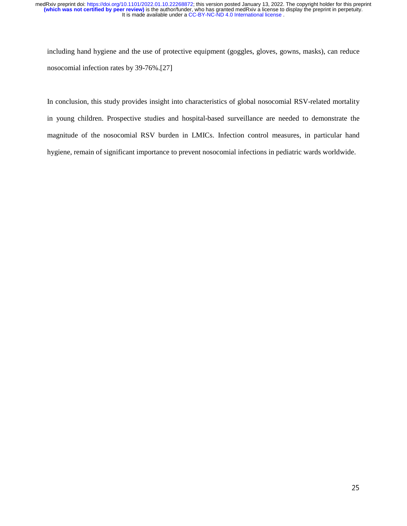including hand hygiene and the use of protective equipment (goggles, gloves, gowns, masks), can reduce nosocomial infection rates by 39-76%.[27]

In conclusion, this study provides insight into characteristics of global nosocomial RSV-related mortality in young children. Prospective studies and hospital-based surveillance are needed to demonstrate the magnitude of the nosocomial RSV burden in LMICs. Infection control measures, in particular hand hygiene, remain of significant importance to prevent nosocomial infections in pediatric wards worldwide.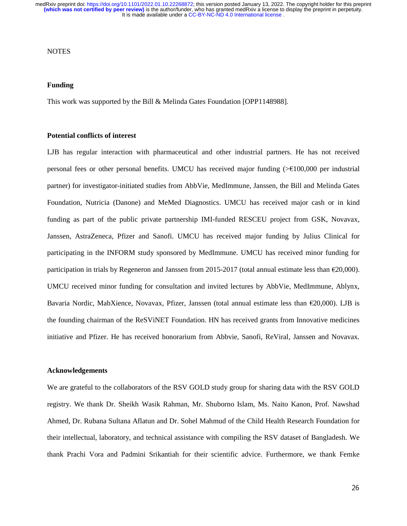### **NOTES**

#### **Funding**

This work was supported by the Bill & Melinda Gates Foundation [OPP1148988].

## **Potential conflicts of interest**

LJB has regular interaction with pharmaceutical and other industrial partners. He has not received personal fees or other personal benefits. UMCU has received major funding (>€100,000 per industrial partner) for investigator-initiated studies from AbbVie, MedImmune, Janssen, the Bill and Melinda Gates Foundation, Nutricia (Danone) and MeMed Diagnostics. UMCU has received major cash or in kind funding as part of the public private partnership IMI-funded RESCEU project from GSK, Novavax, Janssen, AstraZeneca, Pfizer and Sanofi. UMCU has received major funding by Julius Clinical for participating in the INFORM study sponsored by MedImmune. UMCU has received minor funding for participation in trials by Regeneron and Janssen from 2015-2017 (total annual estimate less than €20,000). UMCU received minor funding for consultation and invited lectures by AbbVie, MedImmune, Ablynx, Bavaria Nordic, MabXience, Novavax, Pfizer, Janssen (total annual estimate less than  $\epsilon$ 20,000). LJB is the founding chairman of the ReSViNET Foundation. HN has received grants from Innovative medicines initiative and Pfizer. He has received honorarium from Abbvie, Sanofi, ReViral, Janssen and Novavax.

#### **Acknowledgements**

We are grateful to the collaborators of the RSV GOLD study group for sharing data with the RSV GOLD registry. We thank Dr. Sheikh Wasik Rahman, Mr. Shuborno Islam, Ms. Naito Kanon, Prof. Nawshad Ahmed, Dr. Rubana Sultana Aflatun and Dr. Sohel Mahmud of the Child Health Research Foundation for their intellectual, laboratory, and technical assistance with compiling the RSV dataset of Bangladesh. We thank Prachi Vora and Padmini Srikantiah for their scientific advice. Furthermore, we thank Femke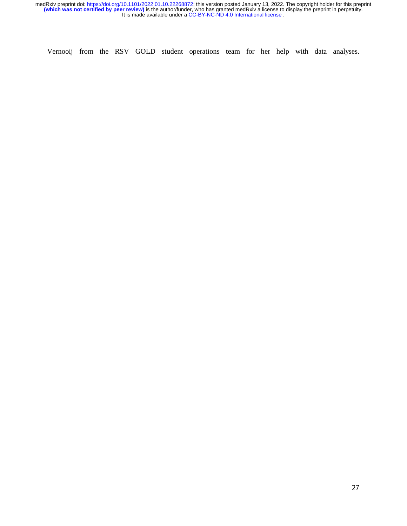Vernooij from the RSV GOLD student operations team for her help with data analyses.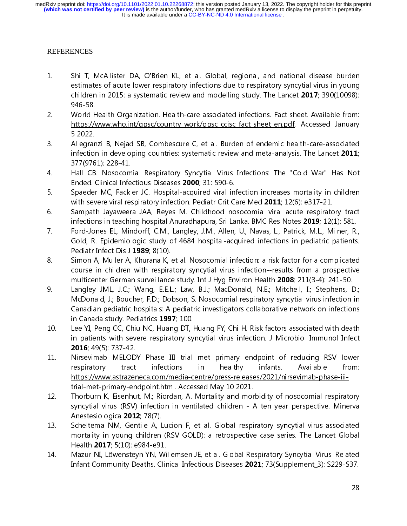# REFERENCES

- 1. Shi T, McAllister DA, O'Brien KL, et al. Global, regional, and national disease burden estimates of acute lower respiratory infections due to respiratory syncytial virus in young children in 2015: a systematic review and modelling study. The Lancet  $2017$ ; 390(10098): 946-58.
- 2. World Health Organization. Health-care associated infections. Fact sheet. Available from: https://www.who.int/gpsc/country\_work/gpsc\_ccisc\_fact\_sheet\_en.pdf. Accessed January 5 2022.
- 3. Allegranzi B, Nejad SB, Combescure C, et al. Burden of endemic health-care-associated infection in developing countries: systematic review and meta-analysis. The Lancet 2011; 377(9761): 228-41.
- 4. Hall CB. Nosocomial Respiratory Syncytial Virus Infections: The "Cold War" Has Not Ended. Clinical Infectious Diseases 2000; 31: 590-6.
- 5. Spaeder MC, Fackler JC. Hospital-acquired viral infection increases mortality in children with severe viral respiratory infection. Pediatr Crit Care Med 2011; 12(6): e317-21.
- 6. Sampath Jayaweera JAA, Reyes M. Childhood nosocomial viral acute respiratory tract infections in teaching hospital Anuradhapura, Sri Lanka. BMC Res Notes 2019; 12(1): 581.
- 7. Ford-Jones EL, Mindorff, C.M., Langley, J.M., Allen, U., Navas, L., Patrick, M.L., Milner, R., Gold, R. Epidemiologic study of 4684 hospital-acquired infections in pediatric patients. Pediatr Infect Dis J 1989; 8(10).
- 8. Simon A, Muller A, Khurana K, et al. Nosocomial infection: a risk factor for a complicated course in children with respiratory syncytial virus infection--results from a prospective multicenter German surveillance study. Int J Hyg Environ Health 2008; 211(3-4): 241-50.
- 9. Langley JML, J.C.; Wang, E.E.L.; Law, B.J.; MacDonald, N.E.; Mitchell, I.; Stephens, D.; McDonald, J.; Boucher, F.D.; Dobson, S. Nosocomial respiratory syncytial virus infection in Canadian pediatric hospitals: A pediatric investigators collaborative network on infections in Canada study. Pediatrics 1997; 100.
- 10. Lee YI, Peng CC, Chiu NC, Huang DT, Huang FY, Chi H. Risk factors associated with death in patients with severe respiratory syncytial virus infection. J Microbiol Immunol Infect 2016; 49(5): 737-42.
- 11. Nirsevimab MELODY Phase III trial met primary endpoint of reducing RSV lower respiratory tract infections in healthy infants. Available from: https://www.astrazeneca.com/media-centre/press-releases/2021/nirsevimab-phase-iiitrial-met-primary-endpoint.html. Accessed May 10 2021.
- 12. Thorburn K, Eisenhut, M.; Riordan, A. Mortality and morbidity of nosocomial respiratory syncytial virus (RSV) infection in ventilated children - A ten year perspective. Minerva Anestesiologica 2012; 78(7).
- 13. Scheltema NM, Gentile A, Lucion F, et al. Global respiratory syncytial virus-associated mortality in young children (RSV GOLD): a retrospective case series. The Lancet Global Health 2017; 5(10): e984-e91.
- 14. Mazur NI, Löwensteyn YN, Willemsen JE, et al. Global Respiratory Syncytial Virus–Related Infant Community Deaths. Clinical Infectious Diseases 2021; 73(Supplement\_3): S229-S37.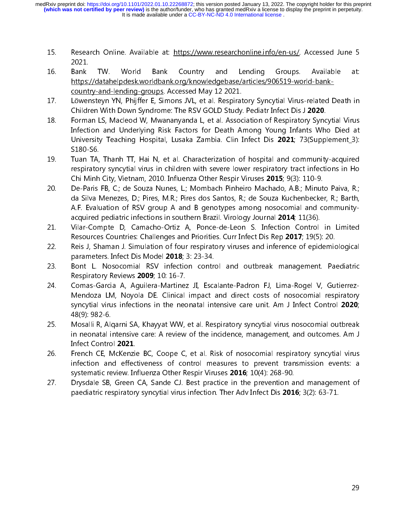It is made available under a [CC-BY-NC-ND 4.0 International license](http://creativecommons.org/licenses/by-nc-nd/4.0/) . **(which was not certified by peer review)** is the author/funder, who has granted medRxiv a license to display the preprint in perpetuity. medRxiv preprint doi: [https://doi.org/10.1101/2022.01.10.22268872;](https://doi.org/10.1101/2022.01.10.22268872) this version posted January 13, 2022. The copyright holder for this preprint

- 15. Research Online. Available at: https://www.researchonline.info/en-us/. Accessed June 5 2021.
- 16. Bank TW. World Bank Country and Lending Groups. Available at: https://datahelpdesk.worldbank.org/knowledgebase/articles/906519-world-bankcountry-and-lending-groups. Accessed May 12 2021.
- 17. Löwensteyn YN, Phijffer E, Simons JVL, et al. Respiratory Syncytial Virus-related Death in Children With Down Syndrome: The RSV GOLD Study. Pediatr Infect Dis J 2020.
- 18. Forman LS, Macleod W, Mwananyanda L, et al. Association of Respiratory Syncytial Virus Infection and Underlying Risk Factors for Death Among Young Infants Who Died at University Teaching Hospital, Lusaka Zambia. Clin Infect Dis 2021; 73(Supplement\_3): S180-S6.
- 19. Tuan TA, Thanh TT, Hai N, et al. Characterization of hospital and community-acquired respiratory syncytial virus in children with severe lower respiratory tract infections in Ho Chi Minh City, Vietnam, 2010. Influenza Other Respir Viruses 2015; 9(3): 110-9.
- 20. De-Paris FB, C.; de Souza Nunes, L.; Mombach Pinheiro Machado, A.B.; Minuto Paiva, R.; da Silva Menezes, D.; Pires, M.R.; Pires dos Santos, R.; de Souza Kuchenbecker, R.; Barth, A.F. Evaluation of RSV group A and B genotypes among nosocomial and communityacquired pediatric infections in southern Brazil. Virology Journal 2014; 11(36).
- 21. Vilar-Compte D, Camacho-Ortiz A, Ponce-de-Leon S. Infection Control in Limited Resources Countries: Challenges and Priorities. Curr Infect Dis Rep 2017; 19(5): 20.
- 22. Reis J, Shaman J. Simulation of four respiratory viruses and inference of epidemiological parameters. Infect Dis Model 2018; 3: 23-34.
- 23. Bont L. Nosocomial RSV infection control and outbreak management. Paediatric Respiratory Reviews 2009; 10: 16-7.
- 24. Comas-Garcia A, Aguilera-Martinez JI, Escalante-Padron FJ, Lima-Rogel V, Gutierrez-Mendoza LM, Noyola DE. Clinical impact and direct costs of nosocomial respiratory syncytial virus infections in the neonatal intensive care unit. Am J Infect Control 2020; 48(9): 982-6.
- 25. Mosalli R, Alqarni SA, Khayyat WW, et al. Respiratory syncytial virus nosocomial outbreak in neonatal intensive care: A review of the incidence, management, and outcomes. Am J Infect Control 2021.
- 26. French CE, McKenzie BC, Coope C, et al. Risk of nosocomial respiratory syncytial virus infection and effectiveness of control measures to prevent transmission events: a systematic review. Influenza Other Respir Viruses 2016; 10(4): 268-90.
- 27. Drysdale SB, Green CA, Sande CJ. Best practice in the prevention and management of paediatric respiratory syncytial virus infection. Ther Adv Infect Dis 2016; 3(2): 63-71.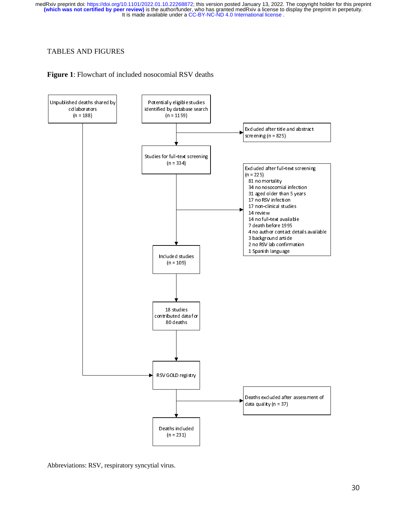## TABLES AND FIGURES





Abbreviations: RSV, respiratory syncytial virus.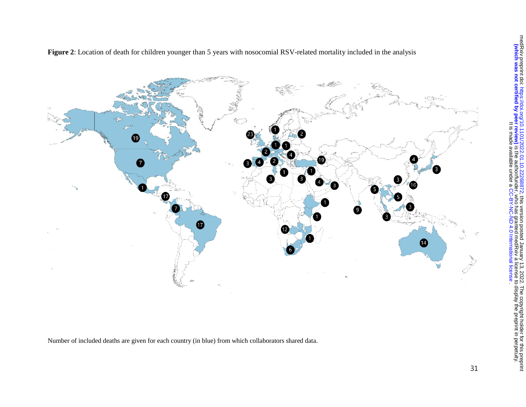

**Figure 2**: Location of death for children younger than 5 years with nosocomial RSV-related mortality included in the analysis

Number of included deaths are given for each country (in blue) from which collaborators shared data.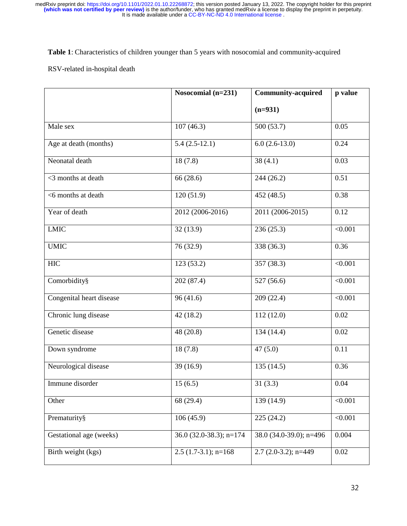**Table 1**: Characteristics of children younger than 5 years with nosocomial and community-acquired

## RSV-related in-hospital death

|                          | Nosocomial (n=231)        | <b>Community-acquired</b> | p value  |
|--------------------------|---------------------------|---------------------------|----------|
|                          |                           | $(n=931)$                 |          |
| Male sex                 | 107(46.3)                 | 500 (53.7)                | 0.05     |
| Age at death (months)    | $5.4(2.5-12.1)$           | $6.0(2.6-13.0)$           | 0.24     |
| Neonatal death           | 18(7.8)                   | 38(4.1)                   | 0.03     |
| <3 months at death       | 66 (28.6)                 | 244 (26.2)                | 0.51     |
| <6 months at death       | 120(51.9)                 | 452 (48.5)                | 0.38     |
| Year of death            | 2012 (2006-2016)          | 2011 (2006-2015)          | 0.12     |
| <b>LMIC</b>              | $\overline{32}$ (13.9)    | 236 (25.3)                | < 0.001  |
| <b>UMIC</b>              | 76 (32.9)                 | 338 (36.3)                | 0.36     |
| <b>HIC</b>               | 123(53.2)                 | 357 (38.3)                | < 0.001  |
| Comorbidity§             | 202 (87.4)                | $\overline{527}$ (56.6)   | < 0.001  |
| Congenital heart disease | 96(41.6)                  | 209 (22.4)                | < 0.001  |
| Chronic lung disease     | 42(18.2)                  | 112(12.0)                 | 0.02     |
| Genetic disease          | 48 (20.8)                 | 134 (14.4)                | 0.02     |
| Down syndrome            | 18(7.8)                   | 47(5.0)                   | 0.11     |
| Neurological disease     | 39(16.9)                  | 135(14.5)                 | 0.36     |
| Immune disorder          | 15(6.5)                   | 31(3.3)                   | 0.04     |
| Other                    | 68 (29.4)                 | 139 (14.9)                | < 0.001  |
| Prematurity§             | 106(45.9)                 | 225 (24.2)                | < 0.001  |
| Gestational age (weeks)  | 36.0 (32.0-38.3); $n=174$ | 38.0 (34.0-39.0); n=496   | 0.004    |
| Birth weight (kgs)       | $2.5(1.7-3.1); n=168$     | $2.7(2.0-3.2); n=449$     | $0.02\,$ |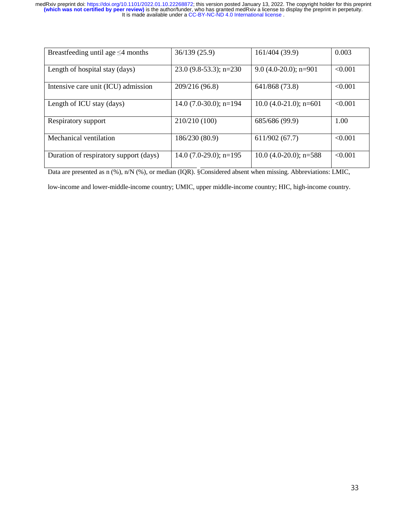| Breastfeeding until age $\leq$ 4 months | 36/139(25.9)              | 161/404 (39.9)           | 0.003   |
|-----------------------------------------|---------------------------|--------------------------|---------|
| Length of hospital stay (days)          | $23.0(9.8-53.3); n=230$   | 9.0 $(4.0-20.0)$ ; n=901 | < 0.001 |
| Intensive care unit (ICU) admission     | 209/216 (96.8)            | 641/868 (73.8)           | < 0.001 |
| Length of ICU stay (days)               | 14.0 $(7.0-30.0)$ ; n=194 | $10.0$ (4.0-21.0); n=601 | < 0.001 |
| Respiratory support                     | 210/210 (100)             | 685/686 (99.9)           | 1.00    |
| Mechanical ventilation                  | 186/230 (80.9)            | 611/902(67.7)            | < 0.001 |
| Duration of respiratory support (days)  | $14.0$ (7.0-29.0); n=195  | $10.0$ (4.0-20.0); n=588 | < 0.001 |

Data are presented as n (%), n/N (%), or median (IQR). §Considered absent when missing. Abbreviations: LMIC,

low-income and lower-middle-income country; UMIC, upper middle-income country; HIC, high-income country.